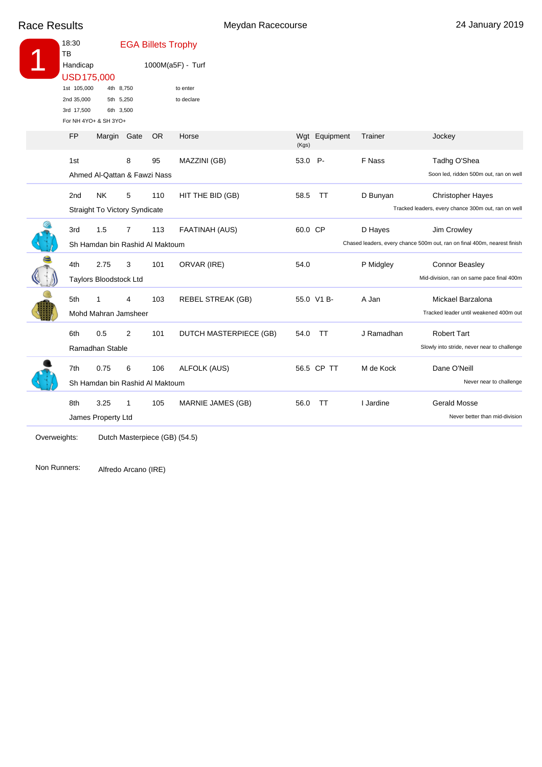Race Results **Meydan Racecourse** 24 January 2019

| 18:30<br>ТB                                                 |                                                                      |                                          | <b>EGA Billets Trophy</b> |                                                 |                  |               |                   |                                                                                         |
|-------------------------------------------------------------|----------------------------------------------------------------------|------------------------------------------|---------------------------|-------------------------------------------------|------------------|---------------|-------------------|-----------------------------------------------------------------------------------------|
| Handicap<br>USD175,000                                      |                                                                      |                                          | 1000M(a5F) - Turf         |                                                 |                  |               |                   |                                                                                         |
| 1st 105,000<br>2nd 35,000<br>3rd 17,500<br><b>FP</b><br>1st | For NH 4YO+ & SH 3YO+<br>Margin Gate<br>Ahmed Al-Qattan & Fawzi Nass | 4th 8,750<br>5th 5,250<br>6th 3,500<br>8 | <b>OR</b><br>95           | to enter<br>to declare<br>Horse<br>MAZZINI (GB) | (Kgs)<br>53.0 P- | Wgt Equipment | Trainer<br>F Nass | Jockey<br>Tadhg O'Shea<br>Soon led, ridden 500m out, ran on well                        |
| 2 <sub>nd</sub>                                             | <b>NK</b><br><b>Straight To Victory Syndicate</b>                    | 5                                        | 110                       | HIT THE BID (GB)                                | 58.5             | TT            | D Bunyan          | <b>Christopher Hayes</b><br>Tracked leaders, every chance 300m out, ran on well         |
| 3rd                                                         | 1.5<br>Sh Hamdan bin Rashid Al Maktoum                               | 7                                        | 113                       | FAATINAH (AUS)                                  | 60.0 CP          |               | D Hayes           | Jim Crowley<br>Chased leaders, every chance 500m out, ran on final 400m, nearest finish |
| 4th                                                         | 2.75<br>Taylors Bloodstock Ltd                                       | 3                                        | 101                       | ORVAR (IRE)                                     | 54.0             |               | P Midgley         | Connor Beasley<br>Mid-division, ran on same pace final 400m                             |
| 5th                                                         | 1<br>Mohd Mahran Jamsheer                                            | 4                                        | 103                       | <b>REBEL STREAK (GB)</b>                        |                  | 55.0 V1 B-    | A Jan             | Mickael Barzalona<br>Tracked leader until weakened 400m out                             |
| 6th                                                         | 0.5<br>Ramadhan Stable                                               | $\overline{2}$                           | 101                       | DUTCH MASTERPIECE (GB)                          | 54.0             | <b>TT</b>     | J Ramadhan        | <b>Robert Tart</b><br>Slowly into stride, never near to challenge                       |
| 7th                                                         | 0.75<br>Sh Hamdan bin Rashid Al Maktoum                              | 6                                        | 106                       | <b>ALFOLK (AUS)</b>                             |                  | 56.5 CP TT    | M de Kock         | Dane O'Neill<br>Never near to challenge                                                 |
| 8th                                                         | 3.25<br>James Property Ltd                                           | 1                                        | 105                       | MARNIE JAMES (GB)                               | 56.0             | TT            | I Jardine         | <b>Gerald Mosse</b><br>Never better than mid-division                                   |
|                                                             |                                                                      |                                          |                           |                                                 |                  |               |                   |                                                                                         |

Dutch Masterpiece (GB) (54.5) Overweights:

Alfredo Arcano (IRE) Non Runners: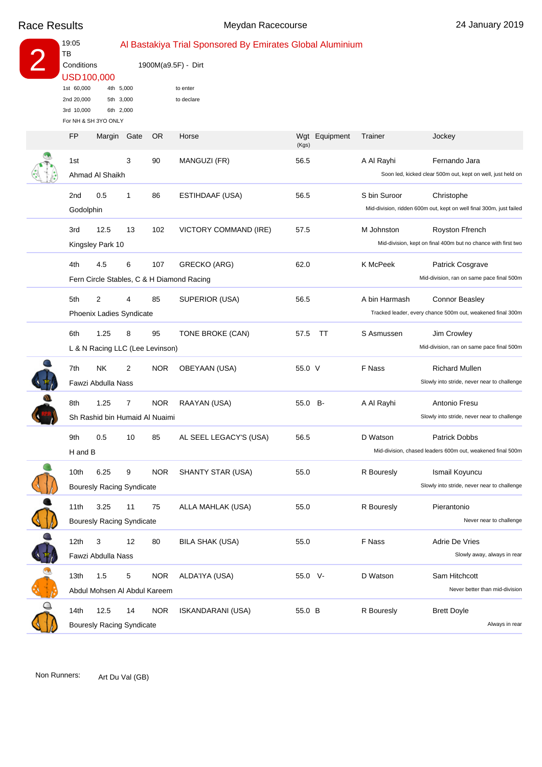|               | 19:05<br>TВ                                                                                |                                            | Al Bastakiya Trial Sponsored By Emirates Global Aluminium |            |                                                                  |              |           |               |                                                                                     |  |
|---------------|--------------------------------------------------------------------------------------------|--------------------------------------------|-----------------------------------------------------------|------------|------------------------------------------------------------------|--------------|-----------|---------------|-------------------------------------------------------------------------------------|--|
|               | Conditions<br>USD100,000<br>1st 60,000<br>2nd 20,000<br>3rd 10,000<br>For NH & SH 3YO ONLY |                                            |                                                           |            | 1900M(a9.5F) - Dirt                                              |              |           |               |                                                                                     |  |
|               |                                                                                            |                                            | 4th 5,000<br>5th 3,000<br>6th 2,000                       |            | to enter<br>to declare                                           |              |           |               |                                                                                     |  |
|               | FP                                                                                         | Margin Gate                                |                                                           | OR.        | Horse                                                            | Wgt<br>(Kgs) | Equipment | Trainer       | Jockey                                                                              |  |
|               | 1st                                                                                        | Ahmad Al Shaikh                            | 3                                                         | 90         | MANGUZI (FR)                                                     | 56.5         |           | A Al Rayhi    | Fernando Jara<br>Soon led, kicked clear 500m out, kept on well, just held on        |  |
|               | 2 <sub>nd</sub><br>Godolphin                                                               | 0.5                                        | 1                                                         | 86         | ESTIHDAAF (USA)                                                  | 56.5         |           | S bin Suroor  | Christophe<br>Mid-division, ridden 600m out, kept on well final 300m, just failed   |  |
|               | 3rd                                                                                        | 12.5<br>Kingsley Park 10                   | 13                                                        | 102        | VICTORY COMMAND (IRE)                                            | 57.5         |           | M Johnston    | Royston Ffrench<br>Mid-division, kept on final 400m but no chance with first two    |  |
|               | 4th                                                                                        | 4.5                                        | 6                                                         | 107        | <b>GRECKO (ARG)</b><br>Fern Circle Stables, C & H Diamond Racing | 62.0         |           | K McPeek      | Patrick Cosgrave<br>Mid-division, ran on same pace final 500m                       |  |
|               | 5th                                                                                        | $\overline{2}$<br>Phoenix Ladies Syndicate | 4                                                         | 85         | SUPERIOR (USA)                                                   | 56.5         |           | A bin Harmash | <b>Connor Beasley</b><br>Tracked leader, every chance 500m out, weakened final 300m |  |
|               | 6th                                                                                        | 1.25<br>L & N Racing LLC (Lee Levinson)    | 8                                                         | 95         | TONE BROKE (CAN)                                                 | 57.5         | TT        | S Asmussen    | Jim Crowley<br>Mid-division, ran on same pace final 500m                            |  |
|               | 7th                                                                                        | <b>NK</b><br>Fawzi Abdulla Nass            | 2                                                         | <b>NOR</b> | OBEYAAN (USA)                                                    | 55.0 V       |           | F Nass        | <b>Richard Mullen</b><br>Slowly into stride, never near to challenge                |  |
|               | 8th                                                                                        | 1.25<br>Sh Rashid bin Humaid Al Nuaimi     | 7                                                         | <b>NOR</b> | RAAYAN (USA)                                                     | 55.0 B-      |           | A Al Rayhi    | Antonio Fresu<br>Slowly into stride, never near to challenge                        |  |
|               | 9th<br>H and B                                                                             | 0.5                                        | 10                                                        | 85         | AL SEEL LEGACY'S (USA)                                           | 56.5         |           | D Watson      | <b>Patrick Dobbs</b><br>Mid-division, chased leaders 600m out, weakened final 500m  |  |
|               | 10th                                                                                       | 6.25<br><b>Bouresly Racing Syndicate</b>   | 9                                                         | <b>NOR</b> | SHANTY STAR (USA)                                                | 55.0         |           | R Bouresly    | Ismail Koyuncu<br>Slowly into stride, never near to challenge                       |  |
|               | 11th                                                                                       | 3.25<br><b>Bouresly Racing Syndicate</b>   | 11                                                        | 75         | ALLA MAHLAK (USA)                                                | 55.0         |           | R Bouresly    | Pierantonio<br>Never near to challenge                                              |  |
| $\frac{1}{4}$ | 12 <sub>th</sub>                                                                           | 3<br>Fawzi Abdulla Nass                    | 12                                                        | 80         | <b>BILA SHAK (USA)</b>                                           | 55.0         |           | F Nass        | Adrie De Vries<br>Slowly away, always in rear                                       |  |
|               | 13th                                                                                       | 1.5<br>Abdul Mohsen Al Abdul Kareem        | 5                                                         | <b>NOR</b> | ALDA'IYA (USA)                                                   | 55.0 V-      |           | D Watson      | Sam Hitchcott<br>Never better than mid-division                                     |  |
|               | 14th                                                                                       | 12.5<br><b>Bouresly Racing Syndicate</b>   | 14                                                        | <b>NOR</b> | <b>ISKANDARANI (USA)</b>                                         | 55.0 B       |           | R Bouresly    | <b>Brett Doyle</b><br>Always in rear                                                |  |

Non Runners: Art Du Val (GB)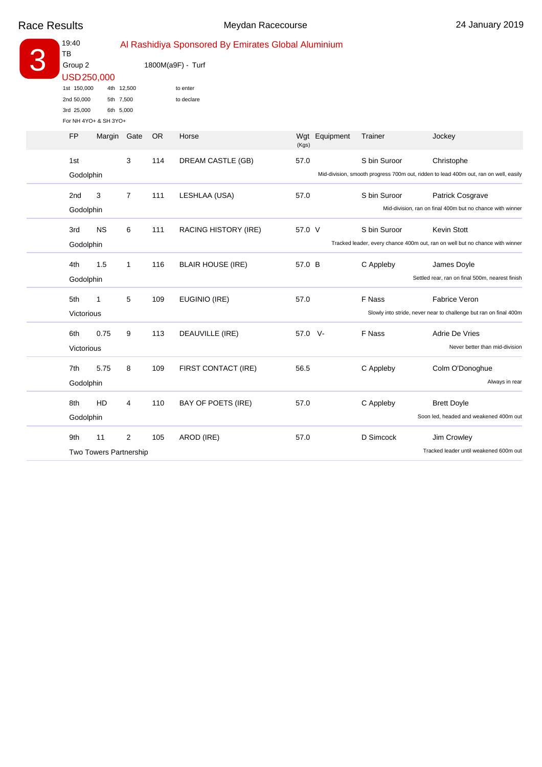| 19:40<br>TB           |                                    |                   | Al Rashidiya Sponsored By Emirates Global Aluminium |                           |         |                                                                              |                                                                   |                                                                                      |  |  |
|-----------------------|------------------------------------|-------------------|-----------------------------------------------------|---------------------------|---------|------------------------------------------------------------------------------|-------------------------------------------------------------------|--------------------------------------------------------------------------------------|--|--|
| Group 2<br>USD250,000 |                                    | 1800M(a9F) - Turf |                                                     |                           |         |                                                                              |                                                                   |                                                                                      |  |  |
| 1st 150,000           |                                    | 4th 12,500        |                                                     | to enter                  |         |                                                                              |                                                                   |                                                                                      |  |  |
| 2nd 50,000            | 5th 7,500                          |                   |                                                     | to declare                |         |                                                                              |                                                                   |                                                                                      |  |  |
| 3rd 25,000            | 6th 5,000<br>For NH 4YO+ & SH 3YO+ |                   |                                                     |                           |         |                                                                              |                                                                   |                                                                                      |  |  |
| FP                    | Margin Gate                        |                   | OR.                                                 | Horse                     | (Kgs)   | Wgt Equipment                                                                | Trainer                                                           | Jockey                                                                               |  |  |
| 1st                   |                                    | 3                 | 114                                                 | DREAM CASTLE (GB)         | 57.0    |                                                                              | S bin Suroor                                                      | Christophe                                                                           |  |  |
| Godolphin             |                                    |                   |                                                     |                           |         |                                                                              |                                                                   | Mid-division, smooth progress 700m out, ridden to lead 400m out, ran on well, easily |  |  |
| 2 <sub>nd</sub>       | 3                                  | $\overline{7}$    | 111                                                 | LESHLAA (USA)             | 57.0    |                                                                              | S bin Suroor                                                      | Patrick Cosgrave                                                                     |  |  |
| Godolphin             |                                    |                   |                                                     |                           |         |                                                                              | Mid-division, ran on final 400m but no chance with winner         |                                                                                      |  |  |
| 3rd                   | <b>NS</b>                          | 6                 | 111                                                 | RACING HISTORY (IRE)      | 57.0 V  |                                                                              | S bin Suroor                                                      | <b>Kevin Stott</b>                                                                   |  |  |
| Godolphin             |                                    |                   |                                                     |                           |         | Tracked leader, every chance 400m out, ran on well but no chance with winner |                                                                   |                                                                                      |  |  |
| 4th                   | 1.5                                | $\mathbf{1}$      | 116                                                 | <b>BLAIR HOUSE (IRE)</b>  | 57.0 B  |                                                                              | C Appleby                                                         | James Doyle                                                                          |  |  |
| Godolphin             |                                    |                   |                                                     |                           |         |                                                                              |                                                                   | Settled rear, ran on final 500m, nearest finish                                      |  |  |
| 5th                   | 1                                  | 5                 | 109                                                 | EUGINIO (IRE)             | 57.0    |                                                                              | F Nass                                                            | <b>Fabrice Veron</b>                                                                 |  |  |
| Victorious            |                                    |                   |                                                     |                           |         |                                                                              | Slowly into stride, never near to challenge but ran on final 400m |                                                                                      |  |  |
| 6th                   | 0.75                               | 9                 | 113                                                 | DEAUVILLE (IRE)           | 57.0 V- |                                                                              | F Nass                                                            | Adrie De Vries                                                                       |  |  |
| Victorious            |                                    |                   |                                                     |                           |         |                                                                              |                                                                   | Never better than mid-division                                                       |  |  |
| 7th                   | 5.75                               | 8                 | 109                                                 | FIRST CONTACT (IRE)       | 56.5    |                                                                              | C Appleby                                                         | Colm O'Donoghue                                                                      |  |  |
|                       |                                    |                   |                                                     |                           |         |                                                                              |                                                                   |                                                                                      |  |  |
| Godolphin             |                                    |                   |                                                     |                           |         |                                                                              |                                                                   | Always in rear                                                                       |  |  |
| 8th                   | HD                                 | 4                 | 110                                                 | <b>BAY OF POETS (IRE)</b> | 57.0    |                                                                              | C Appleby                                                         | <b>Brett Doyle</b>                                                                   |  |  |
| Godolphin             |                                    |                   |                                                     |                           |         |                                                                              |                                                                   | Soon led, headed and weakened 400m out                                               |  |  |
| 9th                   | 11                                 | $\overline{2}$    | 105                                                 | AROD (IRE)                | 57.0    |                                                                              | D Simcock                                                         | Jim Crowley                                                                          |  |  |
|                       | Two Towers Partnership             |                   |                                                     |                           |         |                                                                              |                                                                   | Tracked leader until weakened 600m out                                               |  |  |
|                       |                                    |                   |                                                     |                           |         |                                                                              |                                                                   |                                                                                      |  |  |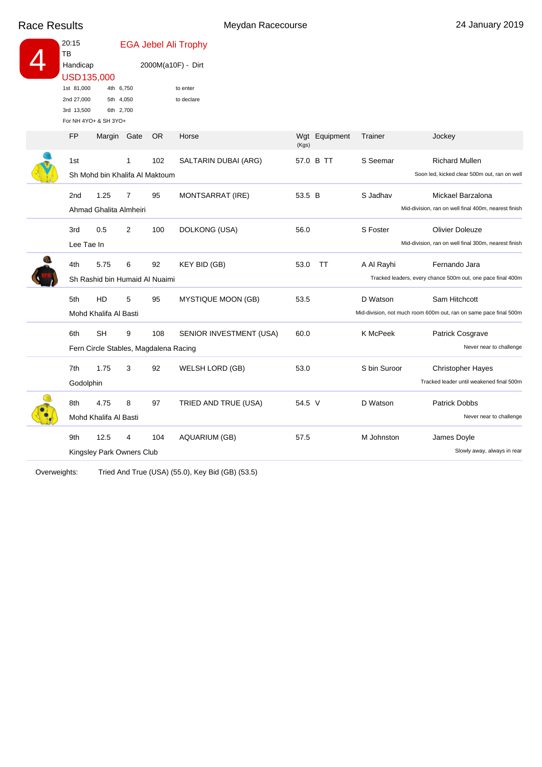Race Results **Meydan Racecourse** 24 January 2019

|  | 20:15<br>TB<br>Handicap<br>USD135,000                           |                                                    |                                     |     | <b>EGA Jebel Ali Trophy</b> |        |               |              |                                                                                    |  |  |
|--|-----------------------------------------------------------------|----------------------------------------------------|-------------------------------------|-----|-----------------------------|--------|---------------|--------------|------------------------------------------------------------------------------------|--|--|
|  |                                                                 |                                                    |                                     |     | 2000M(a10F) - Dirt          |        |               |              |                                                                                    |  |  |
|  | 1st 81,000<br>2nd 27,000<br>3rd 13,500<br>For NH 4YO+ & SH 3YO+ |                                                    | 4th 6,750<br>5th 4,050<br>6th 2,700 |     | to enter<br>to declare      |        |               |              |                                                                                    |  |  |
|  | <b>FP</b>                                                       |                                                    | Margin Gate                         | OR. | Horse                       | (Kgs)  | Wgt Equipment | Trainer      | Jockey                                                                             |  |  |
|  | 1st                                                             | Sh Mohd bin Khalifa Al Maktoum                     | 1                                   | 102 | SALTARIN DUBAI (ARG)        |        | 57.0 B TT     | S Seemar     | <b>Richard Mullen</b><br>Soon led, kicked clear 500m out, ran on well              |  |  |
|  | 2 <sub>nd</sub>                                                 | 1.25<br>Ahmad Ghalita Almheiri                     | 7                                   | 95  | MONTSARRAT (IRE)            | 53.5 B |               | S Jadhav     | Mickael Barzalona<br>Mid-division, ran on well final 400m, nearest finish          |  |  |
|  | 3rd<br>Lee Tae In                                               | 0.5                                                | $\overline{2}$                      | 100 | DOLKONG (USA)               | 56.0   |               | S Foster     | <b>Olivier Doleuze</b><br>Mid-division, ran on well final 300m, nearest finish     |  |  |
|  | 4th                                                             | 5.75<br>Sh Rashid bin Humaid Al Nuaimi             | 6                                   | 92  | <b>KEY BID (GB)</b>         | 53.0   | TT            | A Al Rayhi   | Fernando Jara<br>Tracked leaders, every chance 500m out, one pace final 400m       |  |  |
|  | 5th                                                             | HD<br>Mohd Khalifa Al Basti                        | 5                                   | 95  | <b>MYSTIQUE MOON (GB)</b>   | 53.5   |               | D Watson     | Sam Hitchcott<br>Mid-division, not much room 600m out, ran on same pace final 500m |  |  |
|  | 6th                                                             | <b>SH</b><br>Fern Circle Stables, Magdalena Racing | 9                                   | 108 | SENIOR INVESTMENT (USA)     | 60.0   |               | K McPeek     | Patrick Cosgrave<br>Never near to challenge                                        |  |  |
|  | 7th<br>Godolphin                                                | 1.75                                               | 3                                   | 92  | WELSH LORD (GB)             | 53.0   |               | S bin Suroor | <b>Christopher Hayes</b><br>Tracked leader until weakened final 500m               |  |  |
|  | 8th                                                             | 4.75<br>Mohd Khalifa Al Basti                      | 8                                   | 97  | TRIED AND TRUE (USA)        | 54.5 V |               | D Watson     | <b>Patrick Dobbs</b><br>Never near to challenge                                    |  |  |
|  | 9th                                                             | 12.5<br>Kingsley Park Owners Club                  | 4                                   | 104 | <b>AQUARIUM (GB)</b>        | 57.5   |               | M Johnston   | James Doyle<br>Slowly away, always in rear                                         |  |  |

Overweights: Tried And True (USA) (55.0), Key Bid (GB) (53.5)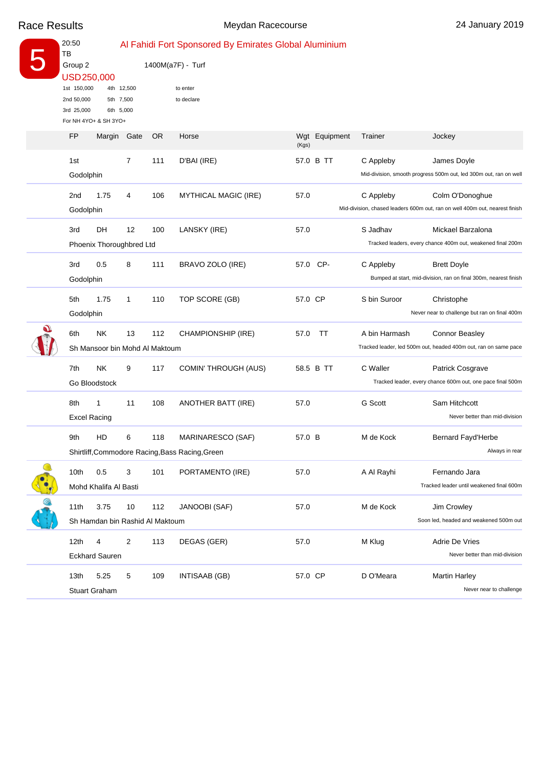|              | 20:50<br>TB<br>Group 2<br>USD 250,000<br>1st 150,000<br>2nd 50,000<br>3rd 25,000 |                                             | 4th 12,500<br>5th 7,500<br>6th 5,000 |           | Al Fahidi Fort Sponsored By Emirates Global Aluminium<br>1400M(a7F) - Turf<br>to enter<br>to declare |         |               |               |                                                                                                |
|--------------|----------------------------------------------------------------------------------|---------------------------------------------|--------------------------------------|-----------|------------------------------------------------------------------------------------------------------|---------|---------------|---------------|------------------------------------------------------------------------------------------------|
|              |                                                                                  | For NH 4YO+ & SH 3YO+                       |                                      |           |                                                                                                      |         |               |               |                                                                                                |
|              | FP                                                                               | Margin Gate                                 |                                      | <b>OR</b> | Horse                                                                                                | (Kgs)   | Wgt Equipment | Trainer       | Jockey                                                                                         |
|              | 1st<br>Godolphin                                                                 |                                             | 7                                    | 111       | D'BAI (IRE)                                                                                          |         | 57.0 B TT     | C Appleby     | James Doyle<br>Mid-division, smooth progress 500m out, led 300m out, ran on well               |
|              | 2 <sub>nd</sub><br>Godolphin                                                     | 1.75                                        | 4                                    | 106       | <b>MYTHICAL MAGIC (IRE)</b>                                                                          | 57.0    |               | C Appleby     | Colm O'Donoghue<br>Mid-division, chased leaders 600m out, ran on well 400m out, nearest finish |
|              | 3rd                                                                              | DH<br>Phoenix Thoroughbred Ltd              | 12                                   | 100       | LANSKY (IRE)                                                                                         | 57.0    |               | S Jadhav      | Mickael Barzalona<br>Tracked leaders, every chance 400m out, weakened final 200m               |
|              | 3rd<br>Godolphin                                                                 | 0.5                                         | 8                                    | 111       | BRAVO ZOLO (IRE)                                                                                     |         | 57.0 CP-      | C Appleby     | <b>Brett Doyle</b><br>Bumped at start, mid-division, ran on final 300m, nearest finish         |
|              | 5th<br>Godolphin                                                                 | 1.75                                        | 1                                    | 110       | TOP SCORE (GB)                                                                                       | 57.0 CP |               | S bin Suroor  | Christophe<br>Never near to challenge but ran on final 400m                                    |
| $\mathbf{U}$ | 6th                                                                              | <b>NK</b><br>Sh Mansoor bin Mohd Al Maktoum | 13                                   | 112       | CHAMPIONSHIP (IRE)                                                                                   | 57.0    | ТT            | A bin Harmash | <b>Connor Beasley</b><br>Tracked leader, led 500m out, headed 400m out, ran on same pace       |
|              | 7th                                                                              | <b>NK</b><br>Go Bloodstock                  | 9                                    | 117       | COMIN' THROUGH (AUS)                                                                                 |         | 58.5 B TT     | C Waller      | Patrick Cosgrave<br>Tracked leader, every chance 600m out, one pace final 500m                 |
|              | 8th                                                                              | 1<br><b>Excel Racing</b>                    | 11                                   | 108       | ANOTHER BATT (IRE)                                                                                   | 57.0    |               | G Scott       | Sam Hitchcott<br>Never better than mid-division                                                |
|              | 9th                                                                              | HD                                          | 6                                    | 118       | MARINARESCO (SAF)<br>Shirtliff, Commodore Racing, Bass Racing, Green                                 | 57.0 B  |               | M de Kock     | <b>Bernard Fayd'Herbe</b><br>Always in rear                                                    |
|              | 10th                                                                             | 0.5<br>Mohd Khalifa Al Basti                | 3                                    | 101       | PORTAMENTO (IRE)                                                                                     | 57.0    |               | A Al Rayhi    | Fernando Jara<br>Tracked leader until weakened final 600m                                      |
|              | 11th                                                                             | 3.75<br>Sh Hamdan bin Rashid Al Maktoum     | 10                                   | 112       | JANOOBI (SAF)                                                                                        | 57.0    |               | M de Kock     | Jim Crowley<br>Soon led, headed and weakened 500m out                                          |
|              | 12 <sub>th</sub>                                                                 | 4<br><b>Eckhard Sauren</b>                  | $\overline{2}$                       | 113       | DEGAS (GER)                                                                                          | 57.0    |               | M Klug        | Adrie De Vries<br>Never better than mid-division                                               |
|              | 13th                                                                             | 5.25<br>Stuart Graham                       | 5                                    | 109       | INTISAAB (GB)                                                                                        | 57.0 CP |               | D O'Meara     | <b>Martin Harley</b><br>Never near to challenge                                                |